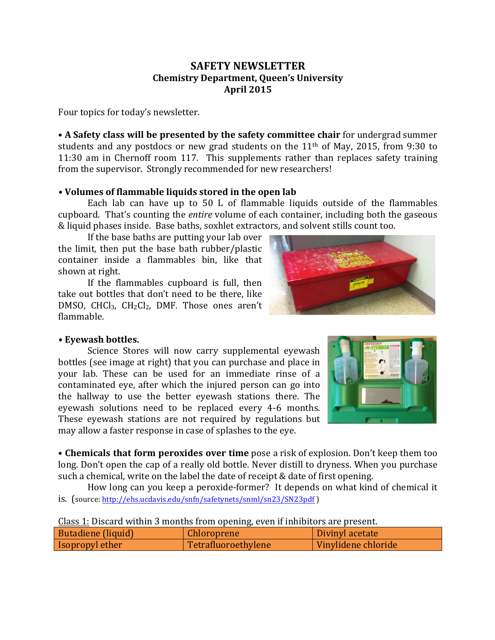## **SAFETY NEWSLETTER Chemistry Department, Queen's University April 2015**

Four topics for today's newsletter.

• A **Safety class will be presented by the safety committee chair** for undergrad summer students and any postdocs or new grad students on the  $11<sup>th</sup>$  of May, 2015, from 9:30 to 11:30 am in Chernoff room 117. This supplements rather than replaces safety training from the supervisor. Strongly recommended for new researchers!

## • Volumes of flammable liquids stored in the open lab

Each lab can have up to  $50$  L of flammable liquids outside of the flammables cupboard. That's counting the *entire* volume of each container, including both the gaseous & liquid phases inside. Base baths, soxhlet extractors, and solvent stills count too.

If the base baths are putting your lab over the limit, then put the base bath rubber/plastic container inside a flammables bin, like that shown at right.

If the flammables cupboard is full, then take out bottles that don't need to be there, like DMSO, CHCl<sub>3</sub>, CH<sub>2</sub>Cl<sub>2</sub>, DMF. Those ones aren't flammable.



## **• Eyewash bottles.**

Science Stores will now carry supplemental eyewash bottles (see image at right) that you can purchase and place in your lab. These can be used for an immediate rinse of a contaminated eye, after which the injured person can go into the hallway to use the better eyewash stations there. The eyewash solutions need to be replaced every 4-6 months. These eyewash stations are not required by regulations but may allow a faster response in case of splashes to the eye.

• Chemicals that form peroxides over time pose a risk of explosion. Don't keep them too long. Don't open the cap of a really old bottle. Never distill to dryness. When you purchase such a chemical, write on the label the date of receipt & date of first opening.

How long can you keep a peroxide-former? It depends on what kind of chemical it is. (source: http://ehs.ucdavis.edu/snfn/safetynets/snml/sn23/SN23pdf)

| Class 1: Discard within 3 months from opening, even if inhibitors are present. |  |
|--------------------------------------------------------------------------------|--|
|--------------------------------------------------------------------------------|--|

| Butadiene (liquid)       | <b>Chloroprene</b>  | Divinyl acetate     |
|--------------------------|---------------------|---------------------|
| <b>I</b> Isopropyl ether | Tetrafluoroethylene | Vinylidene chloride |